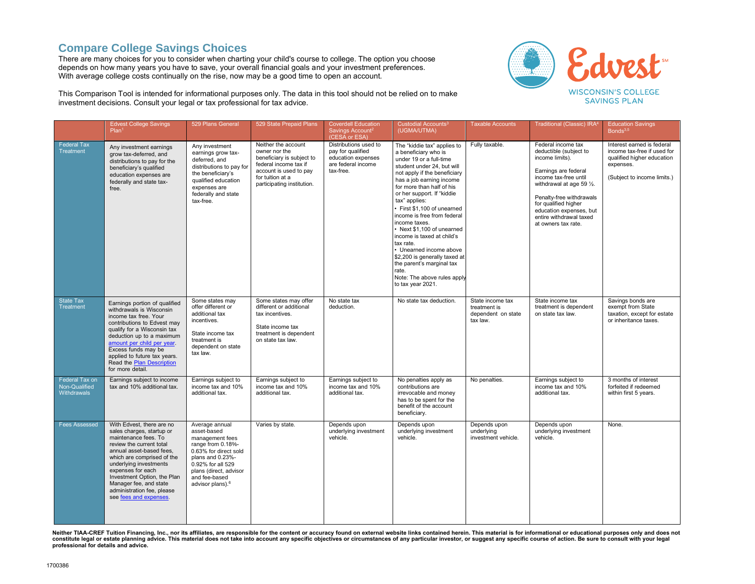## **Compare College Savings Choices**

There are many choices for you to consider when charting your child's course to college. The option you choose depends on how many years you have to save, your overall financial goals and your investment preferences. With average college costs continually on the rise, now may be a good time to open an account.



This Comparison Tool is intended for informational purposes only. The data in this tool should not be relied on to make investment decisions. Consult your legal or tax professional for tax advice.

|                                                | <b>Edvest College Savings</b><br>Plan <sup>1</sup>                                                                                                                                                                                                                                                                                   | 529 Plans General                                                                                                                                                                                                  | 529 State Prepaid Plans                                                                                                                                                | <b>Coverdell Education</b><br>Savings Account <sup>2</sup><br>(CESA or ESA)                         | Custodial Accounts <sup>3</sup><br>(UGMA/UTMA)                                                                                                                                                                                                                                                                                                                                                                                                                                                                                                                     | <b>Taxable Accounts</b>                                            | Traditional (Classic) IRA <sup>4</sup>                                                                                                                                                                                                                                         | <b>Education Savings</b><br>Bonds <sup>3,5</sup>                                                                                    |
|------------------------------------------------|--------------------------------------------------------------------------------------------------------------------------------------------------------------------------------------------------------------------------------------------------------------------------------------------------------------------------------------|--------------------------------------------------------------------------------------------------------------------------------------------------------------------------------------------------------------------|------------------------------------------------------------------------------------------------------------------------------------------------------------------------|-----------------------------------------------------------------------------------------------------|--------------------------------------------------------------------------------------------------------------------------------------------------------------------------------------------------------------------------------------------------------------------------------------------------------------------------------------------------------------------------------------------------------------------------------------------------------------------------------------------------------------------------------------------------------------------|--------------------------------------------------------------------|--------------------------------------------------------------------------------------------------------------------------------------------------------------------------------------------------------------------------------------------------------------------------------|-------------------------------------------------------------------------------------------------------------------------------------|
| <b>Federal Tax</b><br><b>Treatment</b>         | Any investment earnings<br>grow tax-deferred, and<br>distributions to pay for the<br>beneficiary's qualified<br>education expenses are<br>federally and state tax-<br>free.                                                                                                                                                          | Any investment<br>earnings grow tax-<br>deferred, and<br>distributions to pay for<br>the beneficiary's<br>qualified education<br>expenses are<br>federally and state<br>tax-free.                                  | Neither the account<br>owner nor the<br>beneficiary is subject to<br>federal income tax if<br>account is used to pay<br>for tuition at a<br>participating institution. | Distributions used to<br>pay for qualified<br>education expenses<br>are federal income<br>tax-free. | The "kiddie tax" applies to<br>a beneficiary who is<br>under 19 or a full-time<br>student under 24, but will<br>not apply if the beneficiary<br>has a job earning income<br>for more than half of his<br>or her support. If "kiddie<br>tax" applies:<br>· First \$1,100 of unearned<br>income is free from federal<br>income taxes.<br>• Next \$1,100 of unearned<br>income is taxed at child's<br>tax rate.<br>• Unearned income above<br>\$2,200 is generally taxed at<br>the parent's marginal tax<br>rate.<br>Note: The above rules apply<br>to tax year 2021. | Fully taxable.                                                     | Federal income tax<br>deductible (subject to<br>income limits).<br>Earnings are federal<br>income tax-free until<br>withdrawal at age 59 1/2.<br>Penalty-free withdrawals<br>for qualified higher<br>education expenses, but<br>entire withdrawal taxed<br>at owners tax rate. | Interest earned is federal<br>income tax-free if used for<br>qualified higher education<br>expenses.<br>(Subject to income limits.) |
| <b>State Tax</b><br><b>Treatment</b>           | Earnings portion of qualified<br>withdrawals is Wisconsin<br>income tax free. Your<br>contributions to Edvest may<br>qualify for a Wisconsin tax<br>deduction up to a maximum<br>amount per child per year.<br>Excess funds may be<br>applied to future tax years.<br>Read the Plan Description<br>for more detail.                  | Some states may<br>offer different or<br>additional tax<br>incentives.<br>State income tax<br>treatment is<br>dependent on state<br>tax law.                                                                       | Some states may offer<br>different or additional<br>tax incentives.<br>State income tax<br>treatment is dependent<br>on state tax law.                                 | No state tax<br>deduction.                                                                          | No state tax deduction.                                                                                                                                                                                                                                                                                                                                                                                                                                                                                                                                            | State income tax<br>treatment is<br>dependent on state<br>tax law. | State income tax<br>treatment is dependent<br>on state tax law.                                                                                                                                                                                                                | Savings bonds are<br>exempt from State<br>taxation, except for estate<br>or inheritance taxes.                                      |
| Federal Tax on<br>Non-Qualified<br>Withdrawals | Earnings subject to income<br>tax and 10% additional tax.                                                                                                                                                                                                                                                                            | Earnings subject to<br>income tax and 10%<br>additional tax.                                                                                                                                                       | Earnings subject to<br>income tax and 10%<br>additional tax.                                                                                                           | Earnings subject to<br>income tax and 10%<br>additional tax.                                        | No penalties apply as<br>contributions are<br>irrevocable and money<br>has to be spent for the<br>benefit of the account<br>beneficiary.                                                                                                                                                                                                                                                                                                                                                                                                                           | No penalties.                                                      | Earnings subject to<br>income tax and 10%<br>additional tax.                                                                                                                                                                                                                   | 3 months of interest<br>forfeited if redeemed<br>within first 5 years.                                                              |
| <b>Fees Assessed</b>                           | With Edvest, there are no<br>sales charges, startup or<br>maintenance fees. To<br>review the current total<br>annual asset-based fees,<br>which are comprised of the<br>underlying investments<br>expenses for each<br>Investment Option, the Plan<br>Manager fee, and state<br>administration fee, please<br>see fees and expenses. | Average annual<br>asset-based<br>management fees<br>range from 0.18%-<br>0.63% for direct sold<br>plans and 0.23%-<br>0.92% for all 529<br>plans (direct, advisor<br>and fee-based<br>advisor plans). <sup>6</sup> | Varies by state.                                                                                                                                                       | Depends upon<br>underlying investment<br>vehicle.                                                   | Depends upon<br>underlying investment<br>vehicle.                                                                                                                                                                                                                                                                                                                                                                                                                                                                                                                  | Depends upon<br>underlying<br>investment vehicle.                  | Depends upon<br>underlying investment<br>vehicle.                                                                                                                                                                                                                              | None.                                                                                                                               |

Neither TIAA-CREF Tuition Financing, Inc., nor its affiliates, are responsible for the content or accuracy found on external website links contained herein. This material is for informational or educational purposes only a constitute legal or estate planning advice. This material does not take into account any specific objectives or circumstances of any particular investor, or suggest any specific course of action. Be sure to consult with yo **professional for details and advice.**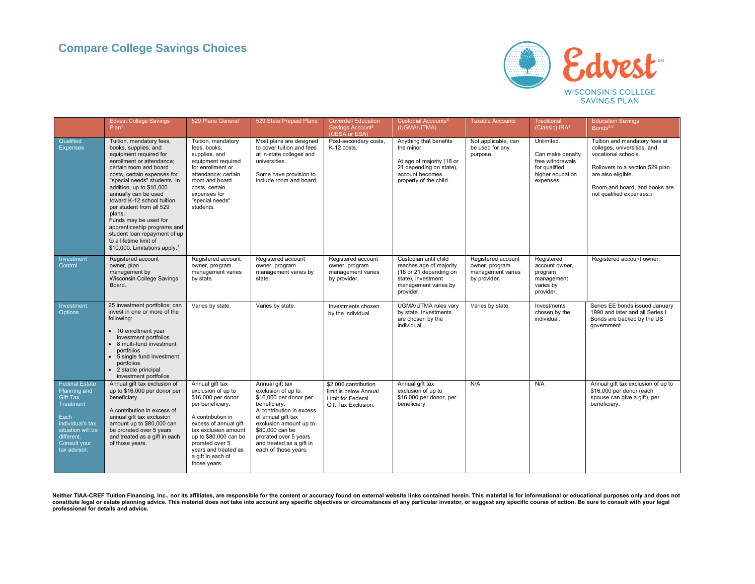

|                                                                                                                                                               | <b>Edvest College Savings</b><br>Plan <sup>1</sup>                                                                                                                                                                                                                                                                                                                                                                                                                          | 529 Plans General                                                                                                                                                                                                                                              | 529 State Prepaid Plans                                                                                                                                                                                                                                     | <b>Coverdell Education</b><br>Savings Account <sup>2</sup><br>(CESA or ESA)               | Custodial Accounts <sup>3</sup><br>(UGMA/UTMA)                                                                                            | <b>Taxable Accounts</b>                                                   | <b>Traditional</b><br>(Classic) IRA <sup>4</sup>                                                     | <b>Education Savings</b><br>Bonds <sup>3,5</sup>                                                                                                                                                          |
|---------------------------------------------------------------------------------------------------------------------------------------------------------------|-----------------------------------------------------------------------------------------------------------------------------------------------------------------------------------------------------------------------------------------------------------------------------------------------------------------------------------------------------------------------------------------------------------------------------------------------------------------------------|----------------------------------------------------------------------------------------------------------------------------------------------------------------------------------------------------------------------------------------------------------------|-------------------------------------------------------------------------------------------------------------------------------------------------------------------------------------------------------------------------------------------------------------|-------------------------------------------------------------------------------------------|-------------------------------------------------------------------------------------------------------------------------------------------|---------------------------------------------------------------------------|------------------------------------------------------------------------------------------------------|-----------------------------------------------------------------------------------------------------------------------------------------------------------------------------------------------------------|
| Qualified<br><b>Expenses</b>                                                                                                                                  | Tuition, mandatory fees,<br>books, supplies, and<br>equipment required for<br>enrollment or attendance:<br>certain room and board<br>costs, certain expenses for<br>"special needs" students. In<br>addition, up to \$10,000<br>annually can be used<br>toward K-12 school tuition<br>per student from all 529<br>plans.<br>Funds may be used for<br>apprenticeship programs and<br>student loan repayment of up<br>to a lifetime limit of<br>\$10,000. Limitations apply.7 | Tuition, mandatory<br>fees, books,<br>supplies, and<br>equipment required<br>for enrollment or<br>attendance; certain<br>room and board<br>costs, certain<br>expenses for<br>"special needs"<br>students.                                                      | Most plans are designed<br>to cover tuition and fees<br>at in-state colleges and<br>universities.<br>Some have provision to<br>include room and board.                                                                                                      | Post-secondary costs,<br>K-12 costs.                                                      | Anything that benefits<br>the minor.<br>At age of majority (18 or<br>21 depending on state),<br>account becomes<br>property of the child. | Not applicable, can<br>be used for any<br>purpose.                        | Unlimited.<br>Can make penalty<br>free withdrawals<br>for qualified<br>higher education<br>expenses. | Tuition and mandatory fees at<br>colleges, universities, and<br>vocational schools.<br>Rollovers to a section 529 plan<br>are also eligible.<br>Room and board, and books are<br>not qualified expenses.3 |
| Investment<br>Control                                                                                                                                         | Registered account<br>owner, plan<br>management by<br>Wisconsin College Savings<br>Board.                                                                                                                                                                                                                                                                                                                                                                                   | Registered account<br>owner, program<br>management varies<br>by state.                                                                                                                                                                                         | Registered account<br>owner, program<br>management varies by<br>state.                                                                                                                                                                                      | Registered account<br>owner, program<br>management varies<br>by provider.                 | Custodian until child<br>reaches age of majority<br>(18 or 21 depending on<br>state), investment<br>management varies by<br>provider.     | Registered account<br>owner, program<br>management varies<br>by provider. | Registered<br>account owner.<br>program<br>management<br>varies by<br>provider.                      | Registered account owner.                                                                                                                                                                                 |
| Investment<br>Options                                                                                                                                         | 25 investment portfolios; can<br>invest in one or more of the<br>following:<br>• 10 enrollment year<br>investment portfolios<br>• 8 multi-fund investment<br>portfolios<br>5 single fund investment<br>portfolios<br>• 2 stable principal<br>investment portfolios                                                                                                                                                                                                          | Varies by state.                                                                                                                                                                                                                                               | Varies by state.                                                                                                                                                                                                                                            | Investments chosen<br>by the individual.                                                  | UGMA/UTMA rules vary<br>by state. Investments<br>are chosen by the<br>individual.                                                         | Varies by state.                                                          | Investments<br>chosen by the<br>individual.                                                          | Series EE bonds issued January<br>1990 and later and all Series I<br>Bonds are backed by the US<br>government.                                                                                            |
| <b>Federal Estate</b><br>Planning and<br>Gift Tax<br>Treatment<br>Each<br>individual's tax<br>situation will be<br>different.<br>Consult your<br>tax advisor. | Annual gift tax exclusion of<br>up to \$16,000 per donor per<br>beneficiary.<br>A contribution in excess of<br>annual gift tax exclusion<br>amount up to \$80,000 can<br>be prorated over 5 years<br>and treated as a gift in each<br>of those years.                                                                                                                                                                                                                       | Annual gift tax<br>exclusion of up to<br>\$16,000 per donor<br>per beneficiary.<br>A contribution in<br>excess of annual gift<br>tax exclusion amount<br>up to \$80,000 can be<br>prorated over 5<br>years and treated as<br>a gift in each of<br>those years. | Annual gift tax<br>exclusion of up to<br>\$16,000 per donor per<br>beneficiary.<br>A contribution in excess<br>of annual gift tax<br>exclusion amount up to<br>\$80,000 can be<br>prorated over 5 years<br>and treated as a gift in<br>each of those years. | \$2,000 contribution<br>limit is below Annual<br>Limit for Federal<br>Gift Tax Exclusion. | Annual gift tax<br>exclusion of up to<br>\$16,000 per donor, per<br>beneficiary.                                                          | N/A                                                                       | N/A                                                                                                  | Annual gift tax exclusion of up to<br>\$16,000 per donor (each<br>spouse can give a gift), per<br>beneficiary.                                                                                            |

Neither TIAA-CREF Tuition Financing, Inc., nor its affiliates, are responsible for the content or accuracy found on external website links contained herein. This material is for informational or educational purposes only a **professional for details and advice.**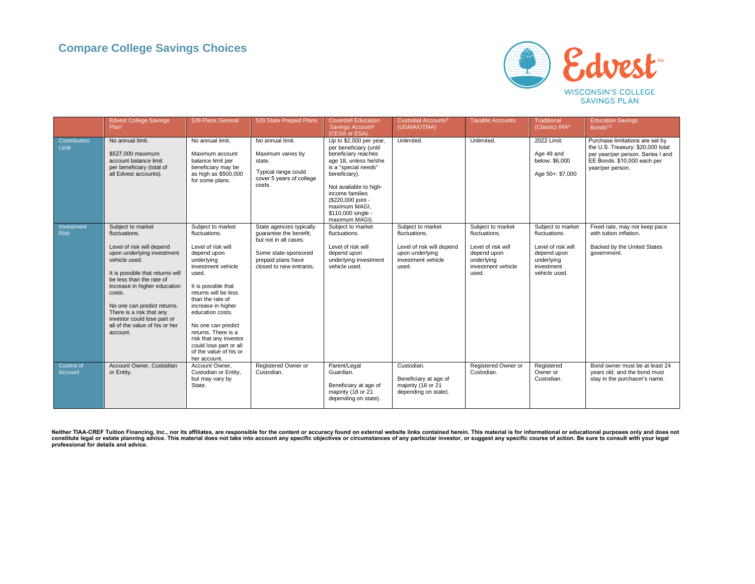

|                           | <b>Edvest College Savings</b><br>Plan <sup>1</sup>                                                                                                                                                                                                                                                                                                               | 529 Plans General                                                                                                                                                                                                                                                                                                                                                            | 529 State Prepaid Plans                                                                                                                              | <b>Coverdell Education</b><br>Savings Account <sup>2</sup><br>(CESA or ESA)                                                                                                                                                                                            | Custodial Accounts <sup>3</sup><br>(UGMA/UTMA)                                                                    | <b>Taxable Accounts</b>                                                                                              | <b>Traditional</b><br>(Classic) IRA4                                                                                 | <b>Education Savings</b><br>Bonds <sup>3,5</sup>                                                                                                             |
|---------------------------|------------------------------------------------------------------------------------------------------------------------------------------------------------------------------------------------------------------------------------------------------------------------------------------------------------------------------------------------------------------|------------------------------------------------------------------------------------------------------------------------------------------------------------------------------------------------------------------------------------------------------------------------------------------------------------------------------------------------------------------------------|------------------------------------------------------------------------------------------------------------------------------------------------------|------------------------------------------------------------------------------------------------------------------------------------------------------------------------------------------------------------------------------------------------------------------------|-------------------------------------------------------------------------------------------------------------------|----------------------------------------------------------------------------------------------------------------------|----------------------------------------------------------------------------------------------------------------------|--------------------------------------------------------------------------------------------------------------------------------------------------------------|
| Contribution<br>Limit     | No annual limit.<br>\$527,000 maximum<br>account balance limit<br>per beneficiary (total of<br>all Edvest accounts).                                                                                                                                                                                                                                             | No annual limit.<br>Maximum account<br>balance limit per<br>beneficiary may be<br>as high as \$500,000<br>for some plans.                                                                                                                                                                                                                                                    | No annual limit.<br>Maximum varies by<br>state.<br>Typical range could<br>cover 5 years of college<br>costs.                                         | Up to \$2,000 per year,<br>per beneficiary (until<br>beneficiary reaches<br>age 18, unless he/she<br>is a "special needs"<br>beneficiary).<br>Not available to high-<br>income families<br>(\$220,000 joint -<br>maximum MAGI,<br>\$110,000 single -<br>maximum MAGI). | Unlimited.                                                                                                        | Unlimited.                                                                                                           | 2022 Limit:<br>Age 49 and<br>below: \$6,000<br>Age 50+: \$7,000                                                      | Purchase limitations are set by<br>the U.S. Treasury: \$20,000 total<br>per year/per person. Series I and<br>EE Bonds: \$10,000 each per<br>year/per person. |
| Investment<br><b>Risk</b> | Subject to market<br>fluctuations.<br>Level of risk will depend<br>upon underlying investment<br>vehicle used.<br>It is possible that returns will<br>be less than the rate of<br>increase in higher education<br>costs.<br>No one can predict returns.<br>There is a risk that any<br>investor could lose part or<br>all of the value of his or her<br>account. | Subject to market<br>fluctuations.<br>Level of risk will<br>depend upon<br>underlying<br>investment vehicle<br>used.<br>It is possible that<br>returns will be less<br>than the rate of<br>increase in higher<br>education costs.<br>No one can predict<br>returns. There is a<br>risk that any investor<br>could lose part or all<br>of the value of his or<br>her account. | State agencies typically<br>quarantee the benefit,<br>but not in all cases.<br>Some state-sponsored<br>prepaid plans have<br>closed to new entrants. | Subject to market<br>fluctuations.<br>Level of risk will<br>depend upon<br>underlying investment<br>vehicle used.                                                                                                                                                      | Subject to market<br>fluctuations.<br>Level of risk will depend<br>upon underlying<br>investment vehicle<br>used. | Subject to market<br>fluctuations.<br>Level of risk will<br>depend upon<br>underlying<br>investment vehicle<br>used. | Subject to market<br>fluctuations.<br>Level of risk will<br>depend upon<br>underlying<br>investment<br>vehicle used. | Fixed rate, may not keep pace<br>with tuition inflation.<br>Backed by the United States<br>government.                                                       |
| Control of<br>Account     | Account Owner, Custodian<br>or Entity.                                                                                                                                                                                                                                                                                                                           | Account Owner.<br>Custodian or Entity,<br>but may vary by<br>State.                                                                                                                                                                                                                                                                                                          | Registered Owner or<br>Custodian.                                                                                                                    | Parent/Legal<br>Guardian.<br>Beneficiary at age of<br>majority (18 or 21<br>depending on state).                                                                                                                                                                       | Custodian.<br>Beneficiary at age of<br>majority (18 or 21<br>depending on state).                                 | Registered Owner or<br>Custodian.                                                                                    | Registered<br>Owner or<br>Custodian.                                                                                 | Bond owner must be at least 24<br>years old, and the bond must<br>stay in the purchaser's name.                                                              |

Neither TIAA-CREF Tuition Financing, Inc., nor its affiliates, are responsible for the content or accuracy found on external website links contained herein. This material is for informational or educational purposes only a